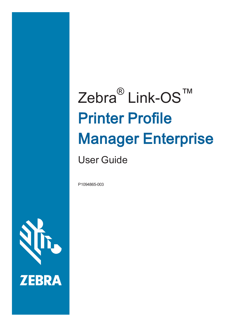# Zebra<sup>®</sup> Link-OS™ Printer Profile Manager Enterprise

User Guide

P1094865-003

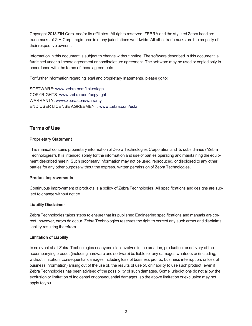Copyright 2018 ZIH Corp. and/or its affiliates. All rights reserved. ZEBRA and the stylized Zebra head are trademarks of ZIH Corp., registered in many jurisdictions worldwide. All other trademarks are the property of their respective owners.

Information in this document is subject to change without notice. The software described in this document is furnished under a license agreement or nondisclosure agreement. The software may be used or copied only in accordance with the terms of those agreements.

For further information regarding legal and proprietary statements, please go to:

SOFTWARE: [www.zebra.com/linkoslegal](http://www.zebra.com/linkoslegal) COPYRIGHTS: [www.zebra.com/copyright](http://www.zebra.com/copyright) WARRANTY: [www.zebra.com/warranty](http://www.zebra.com/warranty) END USER LICENSE AGREEMENT: [www.zebra.com/eula](http://www.zebra.com/eula)

### Terms of Use

### Proprietary Statement

This manual contains proprietary information of Zebra Technologies Corporation and its subsidiaries ("Zebra Technologies"). It is intended solely for the information and use of parties operating and maintaining the equipment described herein. Such proprietary information may not be used, reproduced, or disclosed to any other parties for any other purpose without the express, written permission of Zebra Technologies.

#### Product Improvements

Continuous improvement of products is a policy of Zebra Technologies. All specifications and designs are subject to change without notice.

#### Liability Disclaimer

Zebra Technologies takes steps to ensure that its published Engineering specifications and manuals are correct; however, errors do occur. Zebra Technologies reserves the right to correct any such errors and disclaims liability resulting therefrom.

#### Limitation of Liability

In no event shall Zebra Technologies or anyone else involved in the creation, production, or delivery of the accompanying product (including hardware and software) be liable for any damages whatsoever (including, without limitation, consequential damages including loss of business profits, business interruption, or loss of business information) arising out of the use of, the results of use of, or inability to use such product, even if Zebra Technologies has been advised of the possibility of such damages. Some jurisdictions do not allow the exclusion or limitation of incidental or consequential damages, so the above limitation or exclusion may not apply to you.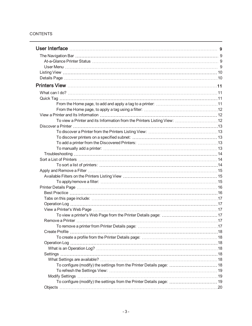### **CONTENTS**

| To configure (modify) the settings from the Printer Details page:  18 |  |
|-----------------------------------------------------------------------|--|
|                                                                       |  |
|                                                                       |  |
| To configure (modify) the settings from the Printer Details page:  19 |  |
|                                                                       |  |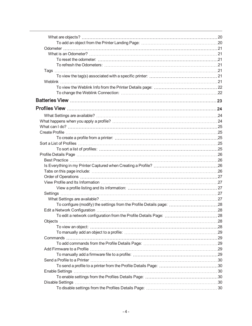| To configure (modify) the settings from the Profile Details page: 28 |  |
|----------------------------------------------------------------------|--|
|                                                                      |  |
|                                                                      |  |
|                                                                      |  |
|                                                                      |  |
|                                                                      |  |
|                                                                      |  |
|                                                                      |  |
|                                                                      |  |
|                                                                      |  |
|                                                                      |  |
|                                                                      |  |
|                                                                      |  |
|                                                                      |  |
|                                                                      |  |
|                                                                      |  |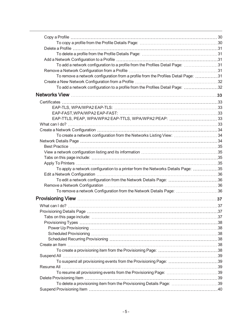| Delete a Profile …………………………………………………………………………………………31                              |  |
|------------------------------------------------------------------------------------|--|
|                                                                                    |  |
|                                                                                    |  |
| To add a network configuration to a profile from the Profiles Detail Page: 31      |  |
|                                                                                    |  |
| To remove a network configuration from a profile from the Profiles Detail Page: 31 |  |
|                                                                                    |  |
| To add a network configuration to a profile from the Profiles Detail Page: 32      |  |
|                                                                                    |  |
|                                                                                    |  |
|                                                                                    |  |
|                                                                                    |  |
| EAP-TTLS, PEAP, WPA/WPA2 EAP-TTLS, WPA/WPA2 PEAP:  33                              |  |
|                                                                                    |  |
|                                                                                    |  |
| To create a network configuration from the Networks Listing View:  34              |  |
|                                                                                    |  |
|                                                                                    |  |
|                                                                                    |  |
|                                                                                    |  |
|                                                                                    |  |
| To apply a network configuration to a printer from the Networks Details Page: 35   |  |
|                                                                                    |  |
|                                                                                    |  |
|                                                                                    |  |
|                                                                                    |  |
|                                                                                    |  |
| To remove a network Configuration from the Network Details Page: 36                |  |
|                                                                                    |  |
|                                                                                    |  |
|                                                                                    |  |
|                                                                                    |  |
|                                                                                    |  |
|                                                                                    |  |
|                                                                                    |  |
|                                                                                    |  |
|                                                                                    |  |
|                                                                                    |  |
|                                                                                    |  |
| To suspend all provisioning events from the Provisioning Page: 39                  |  |
|                                                                                    |  |
|                                                                                    |  |
|                                                                                    |  |
| To delete a provisioning item from the Provisioning Details Page: 39               |  |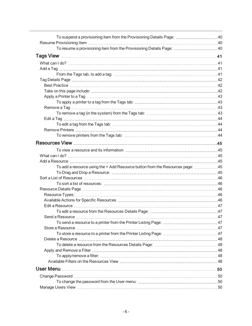| To suspend a provisioning item from the Provisioning Details Page: 40         |  |
|-------------------------------------------------------------------------------|--|
|                                                                               |  |
| To resume a provisioning item from the Provisioning Details Page:  40         |  |
|                                                                               |  |
|                                                                               |  |
|                                                                               |  |
|                                                                               |  |
|                                                                               |  |
|                                                                               |  |
|                                                                               |  |
| Apply a Printer to a Tag ………………………………………………………………………………43                     |  |
|                                                                               |  |
|                                                                               |  |
|                                                                               |  |
|                                                                               |  |
|                                                                               |  |
|                                                                               |  |
|                                                                               |  |
|                                                                               |  |
|                                                                               |  |
|                                                                               |  |
|                                                                               |  |
|                                                                               |  |
|                                                                               |  |
| To add a resource using the + Add Resource button from the Resources page: 45 |  |
|                                                                               |  |
|                                                                               |  |
|                                                                               |  |
|                                                                               |  |
|                                                                               |  |
|                                                                               |  |
|                                                                               |  |
|                                                                               |  |
|                                                                               |  |
|                                                                               |  |
|                                                                               |  |
|                                                                               |  |
|                                                                               |  |
|                                                                               |  |
|                                                                               |  |
|                                                                               |  |
|                                                                               |  |
|                                                                               |  |
|                                                                               |  |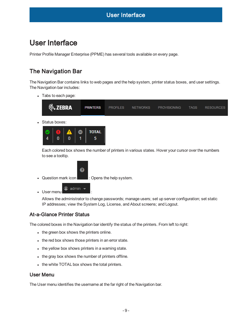# <span id="page-8-0"></span>User Interface

<span id="page-8-1"></span>Printer Profile Manager Enterprise (PPME) has several tools available on every page.

# The Navigation Bar

The Navigation Bar contains links to web pages and the help system, printer status boxes, and user settings. The Navigation bar includes:

• Tabs to each page:

 $\bf{0}$ 

 $\boldsymbol{\Lambda}$ 







• Question mark icon  $\Box$ : Opens the help system.

5

 $\bullet$  User menu  $\bullet$  admin  $\bullet$ 

 $\bf{0}$ 

Allows the administrator to change passwords; manage users; set up server configuration; set static IP addresses; view the System Log, License, and About screens; and Logout.

# <span id="page-8-2"></span>At-a-Glance Printer Status

The colored boxes in the Navigation bar identify the status of the printers. From left to right:

- $\bullet$  the green box shows the printers online.
- the red box shows those printers in an error state.
- $\bullet$  the yellow box shows printers in a warning state.
- the gray box shows the number of printers offline.
- <span id="page-8-3"></span>• the white TOTAL box shows the total printers.

### User Menu

The User menu identifies the username at the far right of the Navigation bar.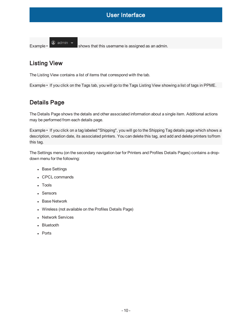Example  $\cdot$   $\circ$  admin  $\cdot$  shows that this username is assigned as an admin.

# <span id="page-9-0"></span>Listing View

The Listing View contains a list of items that correspond with the tab.

<span id="page-9-1"></span>Example • If you click on the Tags tab, you will go to the Tags Listing View showing a list of tags in PPME.

# Details Page

The Details Page shows the details and other associated information about a single item. Additional actions may be performed from each details page.

Example • If you click on a tag labeled "Shipping", you will go to the Shipping Tag details page which shows a description, creation date, its associated printers. You can delete this tag, and add and delete printers to/from this tag.

The Settings menu (on the secondary navigation bar for Printers and Profiles Details Pages) contains a dropdown menu for the following:

- Base Settings
- CPCL commands
- Tools
- Sensors
- Base Network
- Wireless (not available on the Profiles Details Page)
- Network Services
- Bluetooth
- Ports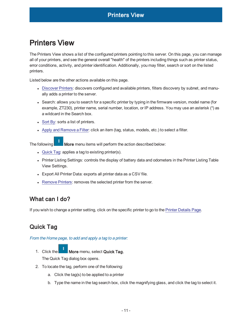<span id="page-10-0"></span>The Printers View shows a list of the configured printers pointing to this server. On this page, you can manage all of your printers, and see the general overall "health" of the printers including things such as printer status, error conditions, activity, and printer identification. Additionally, you may filter, search or sort on the listed printers.

Listed below are the other actions available on this page.

- [Discover](#page-12-0) Printers: discovers configured and available printers, filters discovery by subnet, and manually adds a printer to the server.
- Search: allows you to search for a specific printer by typing in the firmware version, model name (for example, ZT230), printer name, serial number, location, or IP address. You may use an asterisk (\*) as a wildcard in the Search box.
- $\bullet$  [Sort](#page-13-1) By: sorts a list of printers.
- Apply [and Remove](#page-14-0) a Filter: click an item (tag, status, models, etc.) to select a filter.

The following  $\blacksquare$  More menu items will perform the action described below:

- $\bullet$  [Quick](#page-10-2) Tag: applies a tag to existing printer(s).
- Printer Listing Settings: controls the display of battery data and odometers in the Printer Listing Table View Settings.
- Export All Printer Data: exports all printer data as a CSV file.
- Remove Printers: removes the selected printer from the server.

# <span id="page-10-1"></span>What can I do?

<span id="page-10-2"></span>If you wish to change a printer setting, click on the specific printer to go to the Printer [Details](#page-15-0) Page.

# <span id="page-10-3"></span>Quick Tag

From the Home page, to add and apply <sup>a</sup> tag to <sup>a</sup> printer:

- 1. Click the  $\blacksquare$  More menu, select Quick Tag. The Quick Tag dialog box opens.
- 2. To locate the tag, perform one of the following:
	- a. Click the tag(s) to be applied to a printer
	- b. Type the name in the tag search box, click the magnifying glass, and click the tag to select it.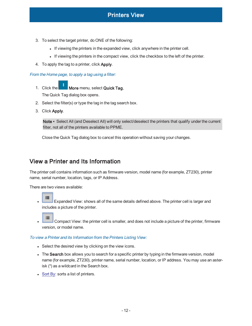- 3. To select the target printer, do ONE of the following:
	- If viewing the printers in the expanded view, click anywhere in the printer cell.
	- If viewing the printers in the compact view, click the checkbox to the left of the printer.
- 4. To apply the tag to a printer, click Apply.

<span id="page-11-0"></span>From the Home page, to apply <sup>a</sup> tag using <sup>a</sup> filter:

- 1. Click the  $\blacksquare$  More menu, select Quick Tag. The Quick Tag dialog box opens.
- 2. Select the filter(s) or type the tag in the tag search box.
- 3. Click Apply.

Note • Select All (and Deselect All) will only select/deselect the printers that qualify under the current filter, not all of the printers available to PPME.

Close the Quick Tag dialog box to cancel this operation without saving your changes.

# <span id="page-11-1"></span>View a Printer and Its Information

The printer cell contains information such as firmware version, model name (for example, ZT230), printer name, serial number, location, tags, or IP Address.

There are two views available:

- 疆 Expanded View: shows all of the same details defined above. The printer cell is larger and includes a picture of the printer.
- $=$ Compact View: the printer cell is smaller, and does not include a picture of the printer, firmware version, or model name.

#### <span id="page-11-2"></span>To view <sup>a</sup> Printer and its Information from the Printers Listing View:

- Select the desired view by clicking on the view icons.
- The Search box allows you to search for a specific printer by typing in the firmware version, model name (for example, ZT230), printer name, serial number, location, or IP address. You may use an asterisk (\*) as a wildcard in the Search box.
- $\bullet$  [Sort](#page-13-1) By: sorts a list of printers.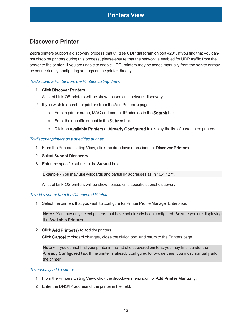# <span id="page-12-0"></span>Discover a Printer

Zebra printers support a discovery process that utilizes UDP datagram on port 4201. If you find that you cannot discover printers during this process, please ensure that the network is enabled for UDP traffic from the server to the printer. If you are unable to enable UDP, printers may be added manually from the server or may be connected by configuring settings on the printer directly.

#### <span id="page-12-1"></span>To discover <sup>a</sup> Printer from the Printers Listing View:

#### 1. Click Discover Printers.

A list of Link-OS printers will be shown based on a network discovery.

- 2. If you wish to search for printers from the Add Printer(s) page:
	- a. Enter a printer name, MAC address, or IP address in the Search box.
	- b. Enter the specific subnet in the Subnet box.
	- c. Click on Available Printers or Already Configured to display the list of associated printers.

#### <span id="page-12-2"></span>To discover printers on <sup>a</sup> specified subnet:

- 1. From the Printers Listing View, click the dropdown menu icon for Discover Printers.
- 2. Select Subnet Discovery.
- 3. Enter the specific subnet in the Subnet box.

Example • You may use wildcards and partial IP addresses as in 10.4.127\*.

A list of Link-OS printers will be shown based on a specific subnet discovery.

#### <span id="page-12-3"></span>To add <sup>a</sup> printer from the Discovered Printers:

1. Select the printers that you wish to configure for Printer Profile Manager Enterprise.

Note • You may only select printers that have not already been configured. Be sure you are displaying the Available Printers.

2. Click Add Printer(s) to add the printers.

Click Cancel to discard changes, close the dialog box, and return to the Printers page.

Note • If you cannot find your printer in the list of discovered printers, you may find it under the Already Configured tab. If the printer is already configured for two servers, you must manually add the printer.

#### <span id="page-12-4"></span>To manually add <sup>a</sup> printer:

- 1. From the Printers Listing View, click the dropdown menu icon for Add Printer Manually.
- 2. Enter the DNS/IP address of the printer in the field.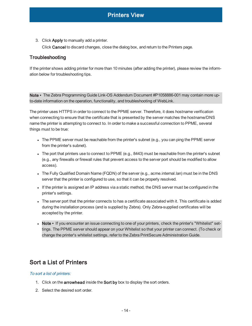3. Click Apply to manually add a printer.

Click Cancel to discard changes, close the dialog box, and return to the Printers page.

### <span id="page-13-0"></span>**Troubleshooting**

If the printer shows adding printer for more than 10 minutes (after adding the printer), please review the information below for troubleshooting tips.

Note • The Zebra Programming Guide Link-OS Addendum Document #P1058886-001 may contain more upto-date information on the operation, functionality, and troubleshooting of WebLink.

The printer uses HTTPS in order to connect to the PPME server. Therefore, it does hostname verification when connecting to ensure that the certificate that is presented by the server matches the hostname/DNS name the printer is attempting to connect to. In order to make a successful connection to PPME, several things must to be true:

- $\bullet$  The PPME server must be reachable from the printer's subnet (e.g., you can ping the PPME server from the printer's subnet).
- The port that printers use to connect to PPME (e.g., 8443) must be reachable from the printer's subnet (e.g., any firewalls or firewall rules that prevent access to the server port should be modified to allow access).
- The Fully Qualified Domain Name (FQDN) of the server (e.g., acme.internal.lan) must be in the DNS server that the printer is configured to use, so that it can be properly resolved.
- If the printer is assigned an IP address via a static method, the DNS server must be configured in the printer's settings.
- <sup>l</sup> The server port that the printer connects to has a certificate associated with it. This certificate is added during the installation process (and is supplied by Zebra). Only Zebra-supplied certificates will be accepted by the printer.
- Note If you encounter an issue connecting to one of your printers, check the printer's "Whitelist" settings. The PPME server should appear on your Whitelist so that your printer can connect. (To check or change the printer's whitelist settings, refer to the Zebra PrintSecure Administration Guide.

# <span id="page-13-2"></span><span id="page-13-1"></span>Sort a List of Printers

#### To sort <sup>a</sup> list of printers:

- 1. Click on the **arrowhead** inside the **Sort by** box to display the sort orders.
- 2. Select the desired sort order.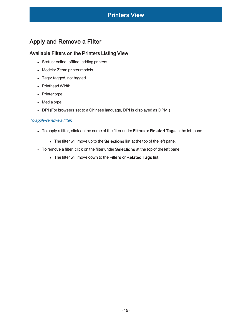# <span id="page-14-1"></span><span id="page-14-0"></span>Apply and Remove a Filter

### Available Filters on the Printers Listing View

- Status: online, offline, adding printers
- Models: Zebra printer models
- Tags: tagged, not tagged
- Printhead Width
- $\bullet$  Printer type
- $\bullet$  Media type
- DPI (For browsers set to a Chinese language, DPI is displayed as DPM.)

#### <span id="page-14-2"></span>To apply/remove <sup>a</sup> filter:

- To apply a filter, click on the name of the filter under Filters or Related Tags in the left pane.
	- The filter will move up to the Selections list at the top of the left pane.
- To remove a filter, click on the filter under Selections at the top of the left pane.
	- . The filter will move down to the Filters or Related Tags list.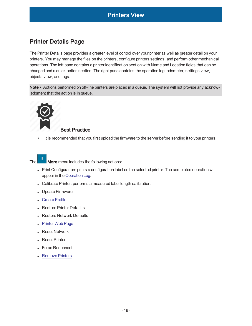# <span id="page-15-0"></span>Printer Details Page

<span id="page-15-1"></span>The Printer Details page provides a greater level of control over your printer as well as greater detail on your printers. You may manage the files on the printers, configure printers settings, and perform other mechanical operations. The left pane contains a printer identification section with Name and Location fields that can be changed and a quick action section. The right pane contains the operation log, odometer, settings view, objects view, and tags.

Note • Actions performed on off-line printers are placed in a queue. The system will not provide any acknowledgment that the action is in queue.



### Best Practice

• It is recommended that you first upload the firmware to the server before sending it to your printers.



The  $\Box$  More menu includes the following actions:

- Print Configuration: prints a configuration label on the selected printer. The completed operation will appear in the [Operation](#page-17-2) Log.
- Calibrate Printer: performs a measured label length calibration.
- Update Firmware
- [Create](#page-17-0) Profile
- Restore Printer Defaults
- Restore Network Defaults
- [Printer](#page-16-2) Web Page
- Reset Network
- **Reset Printer**
- <sup>l</sup> Force Reconnect
- Remove Printers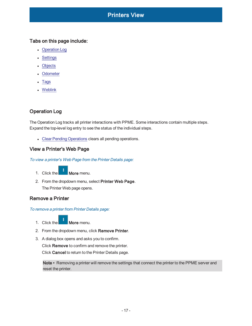### <span id="page-16-0"></span>Tabs on this page include:

- [Operation](#page-17-2) Log
- [Settings](#page-17-4)
- [Objects](#page-19-0)
- [Odometer](#page-20-0)
- **[Tags](#page-20-4)**
- [Weblink](#page-20-6)

# <span id="page-16-1"></span>Operation Log

The Operation Log tracks all printer interactions with PPME. Some interactions contain multiple steps. Expand the top-level log entry to see the status of the individual steps.

<span id="page-16-2"></span>• Clear Pending [Operations](#page-60-2) clears all pending operations.

### <span id="page-16-3"></span>View a Printer's Web Page

To view <sup>a</sup> printer's Web Page from the Printer Details page:

- 1. Click the  $\blacksquare$  More menu.
- 2. From the dropdown menu, select Printer Web Page. The Printer Web page opens.

### <span id="page-16-5"></span><span id="page-16-4"></span>Remove a Printer

To remove <sup>a</sup> printer from Printer Details page:

- 1. Click the **More** menu.
- 2. From the dropdown menu, click Remove Printer.

3. A dialog box opens and asks you to confirm. Click Remove to confirm and remove the printer. Click Cancel to return to the Printer Details page.

Note • Removing a printer will remove the settings that connect the printer to the PPME server and reset the printer.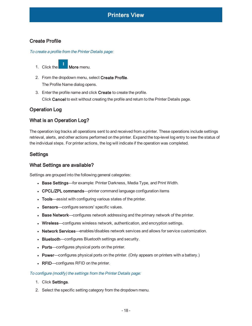## <span id="page-17-1"></span><span id="page-17-0"></span>Create Profile

To create <sup>a</sup> profile from the Printer Details page:

- 1. Click the More menu.
- 2. From the dropdown menu, select Create Profile. The Profile Name dialog opens.
- 3. Enter the profile name and click Create to create the profile. Click Cancel to exit without creating the profile and return to the Printer Details page.

### <span id="page-17-3"></span><span id="page-17-2"></span>Operation Log

### What is an Operation Log?

The operation log tracks all operations sent to and received from a printer. These operations include settings retrieval, alerts, and other actions performed on the printer. Expand the top-level log entry to see the status of the individual steps. For printer actions, the log will indicate if the operation was completed.

### <span id="page-17-5"></span><span id="page-17-4"></span>Settings

### What Settings are available?

Settings are grouped into the following general categories:

- Base Settings—for example: Printer Darkness, Media Type, and Print Width.
- CPCL/ZPL commands—printer command language configuration items
- Tools—assist with configuring various states of the printer.
- Sensors—configure sensors' specific values.
- Base Network—configures network addressing and the primary network of the printer.
- Wireless—configures wireless network, authentication, and encryption settings.
- Network Services—enables/disables network services and allows for service customization.
- Bluetooth—configures Bluetooth settings and security.
- Ports—configures physical ports on the printer.
- Power—configures physical ports on the printer. (Only appears on printers with a battery.)
- RFID—configures RFID on the printer.

#### <span id="page-17-6"></span>To configure (modify) the settings from the Printer Details page:

- 1. Click Settings.
- 2. Select the specific setting category from the dropdown menu.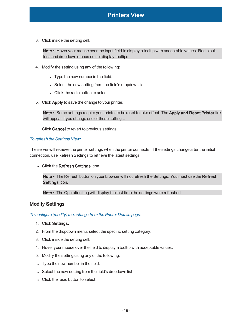3. Click inside the setting cell.

Note • Hover your mouse over the input field to display a tooltip with acceptable values. Radio buttons and dropdown menus do not display tooltips.

- 4. Modify the setting using any of the following:
	- Type the new number in the field.
	- Select the new setting from the field's dropdown list.
	- Click the radio button to select.
- 5. Click Apply to save the change to your printer.

Note • Some settings require your printer to be reset to take effect. The Apply and Reset Printer link will appear if you change one of these settings.

Click Cancel to revert to previous settings.

#### <span id="page-18-0"></span>To refresh the Settings View:

The server will retrieve the printer settings when the printer connects. If the settings change after the initial connection, use Refresh Settings to retrieve the latest settings.

• Click the Refresh Settings icon.

Note • The Refresh button on your browser will not refresh the Settings. You must use the Refresh Settings icon.

Note • The Operation Log will display the last time the settings were refreshed.

### <span id="page-18-2"></span><span id="page-18-1"></span>Modify Settings

#### To configure (modify) the settings from the Printer Details page:

- 1. Click Settings.
- 2. From the dropdown menu, select the specific setting category.
- 3. Click inside the setting cell.
- 4. Hover your mouse over the field to display a tooltip with acceptable values.
- 5. Modify the setting using any of the following:
- Type the new number in the field.
- Select the new setting from the field's dropdown list.
- **.** Click the radio button to select.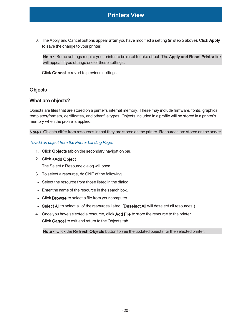6. The Apply and Cancel buttons appear after you have modified a setting (in step 5 above). Click Apply to save the change to your printer.

Note • Some settings require your printer to be reset to take effect. The Apply and Reset Printer link will appear if you change one of these settings.

Click Cancel to revert to previous settings.

### <span id="page-19-1"></span><span id="page-19-0"></span>**Objects**

### What are objects?

Objects are files that are stored on a printer's internal memory. These may include firmware, fonts, graphics, templates/formats, certificates, and other file types. Objects included in a profile will be stored in a printer's memory when the profile is applied.

<span id="page-19-2"></span>Note • Objects differ from resources in that they are stored on the printer. Resources are stored on the server.

#### To add an object from the Printer Landing Page:

- 1. Click Objects tab on the secondary navigation bar.
- 2. Click +Add Object.

The Select a Resource dialog will open.

- 3. To select a resource, do ONE of the following:
- Select the resource from those listed in the dialog.
- Enter the name of the resource in the search box.
- Click Browse to select a file from your computer.
- Select All to select all of the resources listed. (Deselect All will deselect all resources.)
- 4. Once you have selected a resource, click Add File to store the resource to the printer. Click Cancel to exit and return to the Objects tab.

Note • Click the Refresh Objects button to see the updated objects for the selected printer.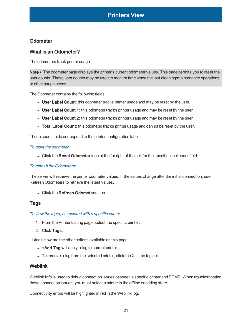## <span id="page-20-1"></span><span id="page-20-0"></span>**Odometer**

## What is an Odometer?

The odometers track printer usage.

Note • The odometer page displays the printer's current odometer values. This page permits you to reset the user counts. These user counts may be used to monitor time since the last cleaning/maintenance operations or other usage needs.

The Odometer contains the following fields:

- User Label Count: this odometer tracks printer usage and may be reset by the user.
- User Label Count 1: this odometer tracks printer usage and may be reset by the user.
- User Label Count 2: this odometer tracks printer usage and may be reset by the user.
- Total Label Count: this odometer tracks printer usage and cannot be reset by the user.

<span id="page-20-2"></span>These count fields correspond to the printer configuration label

#### To reset the odometer:

• Click the Reset Odometer icon at the far right of the cell for the specific label count field.

#### <span id="page-20-3"></span>To refresh the Odometers:

The server will retrieve the printer odometer values. If the values change after the initial connection, use Refresh Odometers to retrieve the latest values.

<span id="page-20-4"></span>**.** Click the Refresh Odometers icon.

### <span id="page-20-5"></span>Tags

To view the tag(s) associated with <sup>a</sup> specific printer:

- 1. From the Printer Listing page, select the specific printer.
- 2. Click Tags.

Listed below are the other actions available on this page.

- +Add Tag will apply a tag to current printer.
- <span id="page-20-6"></span> $\bullet$  To remove a tag from the selected printer, click the X in the tag cell.

### Weblink

Weblink Info is used to debug connection issues between a specific printer and PPME. When troubleshooting those connection issues, you must select a printer in the offline or adding state.

Connectivity errors will be highlighted in red in the Weblink log.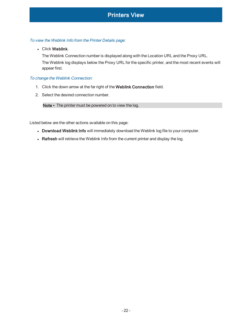#### <span id="page-21-0"></span>To view the Weblink Info from the Printer Details page:

#### • Click Weblink.

The Weblink Connection number is displayed along with the Location URL and the Proxy URL. The Weblink log displays below the Proxy URL for the specific printer, and the most recent events will appear first.

#### <span id="page-21-1"></span>To change the Weblink Connection:

- 1. Click the down arrow at the far right of the Weblink Connection field.
- 2. Select the desired connection number.

Note • The printer must be powered on to view the log.

Listed below are the other actions available on this page:

- Download Weblink Info will immediately download the Weblink log file to your computer.
- Refresh will retrieve the Weblink Info from the current printer and display the log.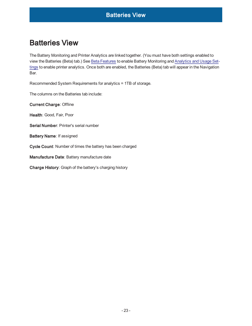# <span id="page-22-0"></span>Batteries View

The Battery Monitoring and Printer Analytics are linked together. (You must have both settings enabled to view the Batteries (Beta) tab.) See Beta [Features](#page-58-2) to enable Battery Monitoring and [Analytics](#page-57-0) and Usage Set[tings](#page-57-0) to enable printer analytics. Once both are enabled, the Batteries (Beta) tab will appear in the Navigation Bar.

Recommended System Requirements for analytics = 1TB of storage.

The columns on the Batteries tab include:

Current Charge: Offline

Health: Good, Fair, Poor

Serial Number: Printer's serial number

Battery Name: If assigned

Cycle Count: Number of times the battery has been charged

Manufacture Date: Battery manufacture date

Charge History: Graph of the battery's charging history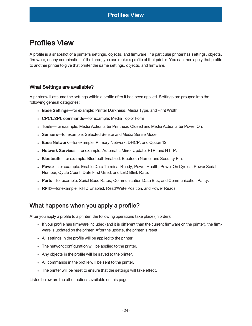<span id="page-23-0"></span>A profile is a snapshot of a printer's settings, objects, and firmware. If a particular printer has settings, objects, firmware, or any combination of the three, you can make a profile of that printer. You can then apply that profile to another printer to give that printer the same settings, objects, and firmware.

### <span id="page-23-1"></span>What Settings are available?

A printer will assume the settings within a profile after it has been applied. Settings are grouped into the following general categories:

- Base Settings—for example: Printer Darkness, Media Type, and Print Width.
- CPCL/ZPL commands—for example: Media Top of Form
- Tools—for example: Media Action after Printhead Closed and Media Action after Power On.
- Sensors—for example: Selected Sensor and Media Sense Mode.
- Base Network—for example: Primary Network, DHCP, and Option 12.
- Network Services—for example: Automatic Mirror Update, FTP, and HTTP.
- Bluetooth—for example: Bluetooth Enabled, Bluetooth Name, and Security Pin.
- Power—for example: Enable Data Terminal Ready, Power Health, Power On Cycles, Power Serial Number, Cycle Count, Date First Used, and LED Blink Rate.
- Ports—for example: Serial Baud Rates, Communication Data Bits, and Communication Parity.
- RFID—for example: RFID Enabled, Read/Write Position, and Power Reads.

# <span id="page-23-2"></span>What happens when you apply a profile?

After you apply a profile to a printer, the following operations take place (in order):

- If your profile has firmware included (and it is different than the current firmware on the printer), the firmware is updated on the printer. After the update, the printer is reset.
- All settings in the profile will be applied to the printer.
- The network configuration will be applied to the printer.
- Any objects in the profile will be saved to the printer.
- All commands in the profile will be sent to the printer.
- The printer will be reset to ensure that the settings will take effect.

Listed below are the other actions available on this page.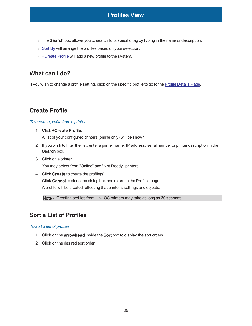- The Search box allows you to search for a specific tag by typing in the name or description.
- [Sort](#page-24-3) By will arrange the profiles based on your selection.
- $\cdot$  [+Create](#page-24-1) Profile will add a new profile to the system.

# <span id="page-24-0"></span>What can I do?

If you wish to change a profile setting, click on the specific profile to go to the Profile [Details](#page-25-0) Page.

# <span id="page-24-1"></span>Create Profile

### <span id="page-24-2"></span>To create <sup>a</sup> profile from <sup>a</sup> printer:

1. Click +Create Profile.

A list of your configured printers (online only) will be shown.

- 2. If you wish to filter the list, enter a printer name, IP address, serial number or printer description in the Search box.
- 3. Click on a printer.

You may select from "Online" and "Not Ready" printers.

4. Click Create to create the profile(s). Click Cancel to close the dialog box and return to the Profiles page. A profile will be created reflecting that printer's settings and objects.

Note • Creating profiles from Link-OS printers may take as long as 30 seconds.

# <span id="page-24-3"></span>Sort a List of Profiles

### <span id="page-24-4"></span>To sort <sup>a</sup> list of profiles:

- 1. Click on the arrowhead inside the Sort box to display the sort orders.
- 2. Click on the desired sort order.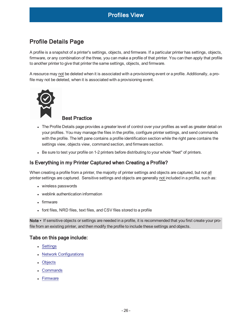# <span id="page-25-0"></span>Profile Details Page

<span id="page-25-1"></span>A profile is a snapshot of a printer's settings, objects, and firmware. If a particular printer has settings, objects, firmware, or any combination of the three, you can make a profile of that printer. You can then apply that profile to another printer to give that printer the same settings, objects, and firmware.

A resource may not be deleted when it is associated with a provisioning event or a profile. Additionally, a profile may not be deleted, when it is associated with a provisioning event.



### Best Practice

- The Profile Details page provides a greater level of control over your profiles as well as greater detail on your profiles. You may manage the files in the profile, configure printer settings, and send commands with the profile. The left pane contains a profile identification section while the right pane contains the settings view, objects view, command section, and firmware section.
- Be sure to test your profile on 1-2 printers before distributing to your whole "fleet" of printers.

## <span id="page-25-2"></span>Is Everything in my Printer Captured when Creating a Profile?

When creating a profile from a printer, the majority of printer settings and objects are captured, but not all printer settings are captured. Sensitive settings and objects are generally not included in a profile, such as:

- wireless passwords
- weblink authentication information
- $\bullet$  firmware
- font files, NRD files, text files, and CSV files stored to a profile

Note • If sensitive objects or settings are needed in a profile, it is recommended that you first create your profile from an existing printer, and then modify the profile to include these settings and objects.

### <span id="page-25-3"></span>Tabs on this page include:

- [Settings](#page-26-3)
- Network [Configurations](#page-27-1)
- [Objects](#page-27-3)
- **[Commands](#page-28-1)**
- [Firmware](#page-28-3)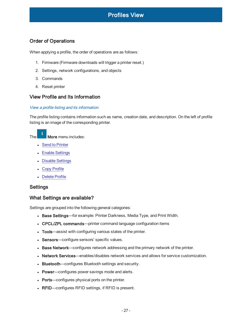## <span id="page-26-0"></span>Order of Operations

When applying a profile, the order of operations are as follows:

- 1. Firmware (Firmware downloads will trigger a printer reset.)
- 2. Settings, network configurations, and objects
- 3. Commands
- <span id="page-26-1"></span>4. Reset printer

### <span id="page-26-2"></span>View Profile and Its Information

#### View <sup>a</sup> profile listing and its information:

The profile listing contains information such as name, creation date, and description. On the left of profile listing is an image of the corresponding printer.

The **More** menu includes:

- Send to [Printer](#page-29-0)
- Enable [Settings](#page-29-2)
- Disable [Settings](#page-29-4)
- Copy [Profile](#page-29-6)
- <span id="page-26-3"></span>• [Delete](#page-30-0) Profile

#### <span id="page-26-4"></span>**Settings**

### What Settings are available?

Settings are grouped into the following general categories:

- Base Settings—for example: Printer Darkness, Media Type, and Print Width.
- CPCL/ZPL commands—printer command language configuration items
- Tools—assist with configuring various states of the printer.
- Sensors—configure sensors' specific values.
- Base Network—configures network addressing and the primary network of the printer.
- Network Services—enables/disables network services and allows for service customization.
- Bluetooth—configures Bluetooth settings and security.
- Power—configures power savings mode and alerts.
- Ports—configures physical ports on the printer.
- RFID—configures RFID settings, if RFID is present.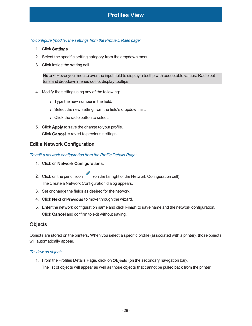#### <span id="page-27-0"></span>To configure (modify) the settings from the Profile Details page:

- 1. Click Settings.
- 2. Select the specific setting category from the dropdown menu.
- 3. Click inside the setting cell.

Note • Hover your mouse over the input field to display a tooltip with acceptable values. Radio buttons and dropdown menus do not display tooltips.

- 4. Modify the setting using any of the following:
	- Type the new number in the field.
	- Select the new setting from the field's dropdown list.
	- Click the radio button to select.
- 5. Click Apply to save the change to your profile. Click Cancel to revert to previous settings.

### <span id="page-27-2"></span><span id="page-27-1"></span>Edit a Network Configuration

To edit <sup>a</sup> network configuration from the Profile Details Page:

- 1. Click on Network Configurations.
- 2. Click on the pencil icon (on the far right of the Network Configuration cell). The Create a Network Configuration dialog appears.
- 3. Set or change the fields as desired for the network.
- 4. Click Next or Previous to move through the wizard.
- 5. Enter the network configuration name and click Finish to save name and the network configuration. Click Cancel and confirm to exit without saving.

### <span id="page-27-3"></span>**Objects**

Objects are stored on the printers. When you select a specific profile (associated with a printer), those objects will automatically appear.

#### <span id="page-27-4"></span>To view an object:

1. From the Profiles Details Page, click on Objects (on the secondary navigation bar). The list of objects will appear as well as those objects that cannot be pulled back from the printer.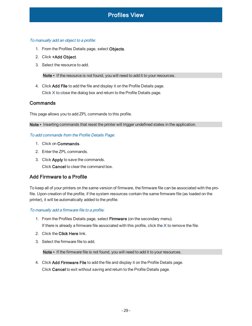#### <span id="page-28-0"></span>To manually add an object to <sup>a</sup> profile:

- 1. From the Profiles Details page, select Objects.
- 2. Click +Add Object.
- 3. Select the resource to add.

Note • If the resource is not found, you will need to add it to your resources.

4. Click Add File to add the file and display it on the Profile Details page. Click **X** to close the dialog box and return to the Profile Details page.

### <span id="page-28-1"></span>**Commands**

This page allows you to add ZPL commands to this profile.

<span id="page-28-2"></span>Note • Inserting commands that reset the printer will trigger undefined states in the application.

#### To add commands from the Profile Details Page:

- 1. Click on Commands.
- 2. Enter the ZPL commands.
- 3. Click Apply to save the commands. Click Cancel to clear the command box.

### <span id="page-28-3"></span>Add Firmware to a Profile

To keep all of your printers on the same version of firmware, the firmware file can be associated with the profile. Upon creation of the profile, if the system resources contain the same firmware file (as loaded on the printer), it will be automatically added to the profile.

#### <span id="page-28-4"></span>To manually add <sup>a</sup> firmware file to <sup>a</sup> profile:

- 1. From the Profiles Details page, select Firmware (on the secondary menu). If there is already a firmware file associated with this profile, click the **X** to remove the file.
- 2. Click the Click Here link.
- 3. Select the firmware file to add.

Note • If the firmware file is not found, you will need to add it to your resources.

4. Click Add Firmware File to add the file and display it on the Profile Details page. Click Cancel to exit without saving and return to the Profile Details page.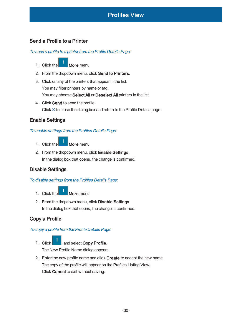### <span id="page-29-1"></span><span id="page-29-0"></span>Send a Profile to a Printer

To send <sup>a</sup> profile to <sup>a</sup> printer from the Profile Details Page:

- 1. Click the **More** menu.
- 2. From the dropdown menu, click Send to Printers.
- 3. Click on any of the printers that appear in the list. You may filter printers by name or tag. You may choose Select All or Deselect All printers in the list.
- 4. Click Send to send the profile. Click **X** to close the dialog box and return to the Profile Details page.

### <span id="page-29-3"></span><span id="page-29-2"></span>Enable Settings

#### To enable settings from the Profiles Details Page:

- 1. Click the **More** menu.
- 2. From the dropdown menu, click Enable Settings. In the dialog box that opens, the change is confirmed.

# <span id="page-29-5"></span><span id="page-29-4"></span>Disable Settings

To disable settings from the Profiles Details Page:

- 1. Click the **More** menu.
- 2. From the dropdown menu, click Disable Settings. In the dialog box that opens, the change is confirmed.

# <span id="page-29-7"></span><span id="page-29-6"></span>Copy a Profile

To copy <sup>a</sup> profile from the Profile Details Page:

- 1. Click **No. 3.**, and select Copy Profile. The New Profile Name dialog appears.
- 2. Enter the new profile name and click Create to accept the new name. The copy of the profile will appear on the Profiles Listing View. Click Cancel to exit without saving.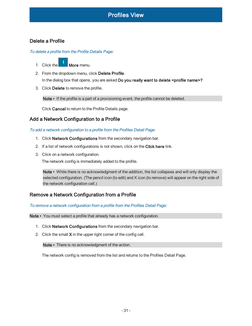### <span id="page-30-1"></span><span id="page-30-0"></span>Delete a Profile

To delete <sup>a</sup> profile from the Profile Details Page:

- 1. Click the **More** menu.
- 2. From the dropdown menu, click Delete Profile. In the dialog box that opens, you are asked Do you really want to delete <profile name>?
- 3. Click Delete to remove the profile.

Note • If the profile is a part of a provisioning event, the profile cannot be deleted.

Click Cancel to return to the Profile Details page.

# <span id="page-30-3"></span><span id="page-30-2"></span>Add a Network Configuration to a Profile

To add <sup>a</sup> network configuration to <sup>a</sup> profile from the Profiles Detail Page:

- 1. Click Network Configurations from the secondary navigation bar.
- 2. If a list of network configurations is not shown, click on the Click here link.
- 3. Click on a network configuration.

The network config is immediately added to the profile.

Note • While there is no acknowledgment of the addition, the list collapses and will only display the selected configuration. (The pencil icon (to edit) and X icon (to remove) will appear on the right side of the network configuration cell.)

### <span id="page-30-5"></span><span id="page-30-4"></span>Remove a Network Configuration from a Profile

To remove <sup>a</sup> network configuration from <sup>a</sup> profile from the Profiles Detail Page:

Note • You must select a profile that already has a network configuration.

- 1. Click Network Configurations from the secondary navigation bar.
- 2. Click the small X in the upper right corner of the config cell.

Note • There is no acknowledgment of the action.

The network config is removed from the list and returns to the Profiles Detail Page.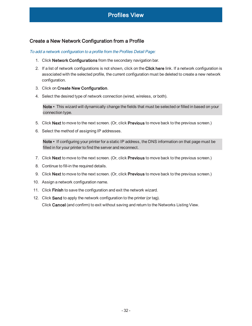### <span id="page-31-1"></span><span id="page-31-0"></span>Create a New Network Configuration from a Profile

To add <sup>a</sup> network configuration to <sup>a</sup> profile from the Profiles Detail Page:

- 1. Click Network Configurations from the secondary navigation bar.
- 2. If a list of network configurations is not shown, click on the Click here link. If a network configuration is associated with the selected profile, the current configuration must be deleted to create a new network configuration.
- 3. Click on Create New Configuration.
- 4. Select the desired type of network connection (wired, wireless, or both).

Note • This wizard will dynamically change the fields that must be selected or filled in based on your connection type.

- 5. Click Next to move to the next screen. (Or, click Previous to move back to the previous screen.)
- 6. Select the method of assigning IP addresses.

Note • If configuring your printer for a static IP address, the DNS information on that page must be filled in for your printer to find the server and reconnect.

- 7. Click Next to move to the next screen. (Or, click Previous to move back to the previous screen.)
- 8. Continue to fill-in the required details.
- 9. Click Next to move to the next screen. (Or, click Previous to move back to the previous screen.)
- 10. Assign a network configuration name.
- 11. Click Finish to save the configuration and exit the network wizard.
- 12. Click Send to apply the network configuration to the printer (or tag). Click Cancel (and confirm) to exit without saving and return to the Networks Listing View.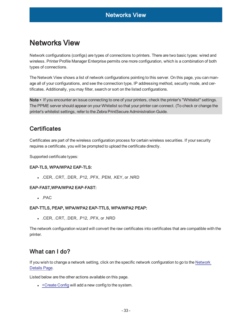# <span id="page-32-0"></span>Networks View

Network configurations (configs) are types of connections to printers. There are two basic types: wired and wireless. Printer Profile Manager Enterprise permits one more configuration, which is a combination of both types of connections.

The Network View shows a list of network configurations pointing to this server. On this page, you can manage all of your configurations, and see the connection type, IP addressing method, security mode, and certificates. Additionally, you may filter, search or sort on the listed configurations.

Note • If you encounter an issue connecting to one of your printers, check the printer's "Whitelist" settings. The PPME server should appear on your Whitelist so that your printer can connect. (To check or change the printer's whitelist settings, refer to the Zebra PrintSecure Administration Guide.

# <span id="page-32-1"></span>**Certificates**

Certificates are part of the wireless configuration process for certain wireless securities. If your security requires a certificate, you will be prompted to upload the certificate directly.

<span id="page-32-2"></span>Supported certificate types:

### EAP-TLS, WPA/WPA2 EAP-TLS:

<sup>l</sup> .CER, .CRT, .DER, .P12, .PFX, .PEM, .KEY, or .NRD

#### <span id="page-32-3"></span>EAP-FAST,WPA/WPA2 EAP-FAST:

 $\cdot$  . PAC

#### <span id="page-32-4"></span>EAP-TTLS, PEAP, WPA/WPA2 EAP-TTLS, WPA/WPA2 PEAP:

<sup>l</sup> .CER, .CRT, .DER, .P12, .PFX, or .NRD

The network configuration wizard will convert the raw certificates into certificates that are compatible with the printer.

# <span id="page-32-5"></span>What can I do?

If you wish to change a network setting, click on the specific network configuration to go to the [Network](#page-33-2) [Details](#page-33-2) Page.

Listed below are the other actions available on this page.

 $\cdot$  [+Create](#page-33-0) Config will add a new config to the system.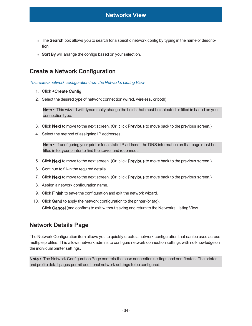- The Search box allows you to search for a specific network config by typing in the name or description.
- Sort By will arrange the configs based on your selection.

# <span id="page-33-0"></span>Create a Network Configuration

<span id="page-33-1"></span>To create <sup>a</sup> network configuration from the Networks Listing View:

- 1. Click +Create Config.
- 2. Select the desired type of network connection (wired, wireless, or both).

Note • This wizard will dynamically change the fields that must be selected or filled in based on your connection type.

- 3. Click Next to move to the next screen. (Or, click Previous to move back to the previous screen.)
- 4. Select the method of assigning IP addresses.

Note • If configuring your printer for a static IP address, the DNS information on that page must be filled in for your printer to find the server and reconnect.

- 5. Click Next to move to the next screen. (Or, click Previous to move back to the previous screen.)
- 6. Continue to fill-in the required details.
- 7. Click Next to move to the next screen. (Or, click Previous to move back to the previous screen.)
- 8. Assign a network configuration name.
- 9. Click Finish to save the configuration and exit the network wizard.
- 10. Click Send to apply the network configuration to the printer (or tag). Click Cancel (and confirm) to exit without saving and return to the Networks Listing View.

# <span id="page-33-2"></span>Network Details Page

The Network Configuration item allows you to quickly create a network configuration that can be used across multiple profiles. This allows network admins to configure network connection settings with no knowledge on the individual printer settings.

Note • The Network Configuration Page controls the base connection settings and certificates. The printer and profile detail pages permit additional network settings to be configured.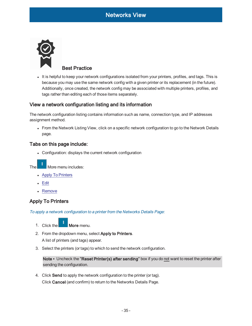<span id="page-34-0"></span>

It is helpful to keep your network configurations isolated from your printers, profiles, and tags. This is because you may use the same network config with a given printer or its replacement (in the future). Additionally, once created, the network config may be associated with multiple printers, profiles, and tags rather than editing each of those items separately.

### <span id="page-34-1"></span>View a network configuration listing and its information

The network configuration listing contains information such as name, connection type, and IP addresses assignment method.

• From the Network Listing View, click on a specific network configuration to go to the Network Details page.

### <span id="page-34-2"></span>Tabs on this page include:

• Configuration: displays the current network configuration

The **More menu includes:** 

- Apply To [Printers](#page-34-3)
- **[Edit](#page-35-0)**
- <span id="page-34-3"></span>• [Remove](#page-35-2)

# <span id="page-34-4"></span>Apply To Printers

To apply <sup>a</sup> network configuration to <sup>a</sup> printer from the Networks Details Page:

- 1. Click the **More** menu.
- 2. From the dropdown menu, select Apply to Printers.

A list of printers (and tags) appear.

3. Select the printers (or tags) to which to send the network configuration.

Note • Uncheck the "Reset Printer(s) after sending" box if you do not want to reset the printer after sending the configuration.

4. Click Send to apply the network configuration to the printer (or tag). Click Cancel (and confirm) to return to the Networks Details Page.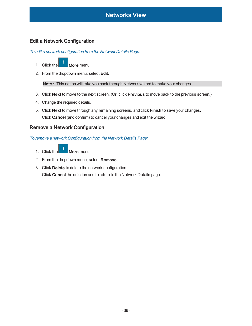# <span id="page-35-1"></span><span id="page-35-0"></span>Edit a Network Configuration

To edit <sup>a</sup> network configuration from the Network Details Page:

- 1. Click the **More** menu.
- 2. From the dropdown menu, select Edit.

Note • This action will take you back through Network wizard to make your changes.

- 3. Click Next to move to the next screen. (Or, click Previous to move back to the previous screen.)
- 4. Change the required details.
- 5. Click Next to move through any remaining screens, and click Finish to save your changes. Click Cancel (and confirm) to cancel your changes and exit the wizard.

### <span id="page-35-3"></span><span id="page-35-2"></span>Remove a Network Configuration

To remove <sup>a</sup> network Configuration from the Network Details Page:

- 1. Click the  $\blacksquare$  More menu.
- 2. From the dropdown menu, select Remove.
- 3. Click Delete to delete the network configuration.

Click Cancel the deletion and to return to the Network Details page.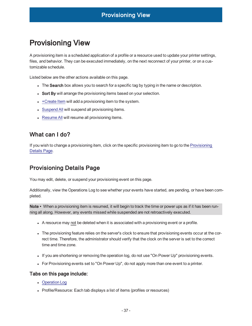# <span id="page-36-0"></span>Provisioning View

A provisioning item is a scheduled application of a profile or a resource used to update your printer settings, files, and behavior. They can be executed immediately, on the next reconnect of your printer, or on a customizable schedule.

Listed below are the other actions available on this page.

- The Search box allows you to search for a specific tag by typing in the name or description.
- Sort By will arrange the provisioning items based on your selection.
- $\cdot$  [+Create](#page-37-4) Item will add a provisioning item to the system.
- [Suspend](#page-38-0) All will suspend all provisioning items.
- [Resume](#page-38-2) All will resume all provisioning items.

# <span id="page-36-1"></span>What can I do?

If you wish to change a provisioning item, click on the specific provisioning item to go to the [Provisioning](#page-36-2) [Details](#page-36-2) Page.

# <span id="page-36-2"></span>Provisioning Details Page

You may edit, delete, or suspend your provisioning event on this page.

Additionally, view the Operations Log to see whether your events have started, are pending, or have been completed.

Note • When a provisioning item is resumed, it will begin to track the time or power ups as if it has been running all along. However, any events missed while suspended are not retroactively executed.

- A resource may not be deleted when it is associated with a provisioning event or a profile.
- The provisioning feature relies on the server's clock to ensure that provisioning events occur at the correct time. Therefore, the administrator should verify that the clock on the server is set to the correct time and time zone.
- If you are shortening or removing the operation log, do not use "On Power Up" provisioning events.
- <span id="page-36-3"></span>• For Provisioning events set to "On Power Up", do not apply more than one event to a printer.

### Tabs on this page include:

- [Operation](#page-17-2) Log
- Profile/Resource: Each tab displays a list of items (profiles or resources)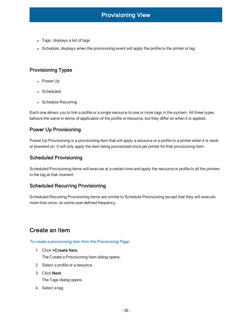- Tags: displays a list of tags
- Schedule: displays when the provisioning event will apply the profile to the printer or tag.

# <span id="page-37-0"></span>Provisioning Types

- Power Up
- Scheduled
- Schedule Recurring

Each one allows you to link a profile or a single resource to one or more tags in the system. All three types behave the same in terms of application of the profile or resource, but they differ on when it is applied.

# <span id="page-37-1"></span>Power Up Provisioning

Power Up Provisioning is a provisioning item that will apply a resource or a profile to a printer when it is reset or powered on. It will only apply the item being provisioned once per printer for that provisioning item.

# <span id="page-37-2"></span>Scheduled Provisioning

Scheduled Provisioning items will execute at a certain time and apply the resource or profile to all the printers in the tag at that moment.

# <span id="page-37-3"></span>Scheduled Recurring Provisioning

Scheduled Recurring Provisioning items are similar to Schedule Provisioning except that they will execute more than once, on some user-defined frequency.

# <span id="page-37-5"></span><span id="page-37-4"></span>Create an Item

To create <sup>a</sup> provisioning item from the Provisioning Page:

1. Click +Create Item.

The Create a Provisioning Item dialog opens.

- 2. Select a profile or a resource.
- 3. Click Next.

The Tags dialog opens.

4. Select a tag.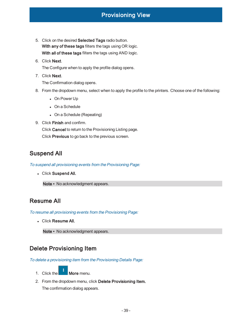- 5. Click on the desired Selected Tags radio button. With any of these tags filters the tags using OR logic. With all of these tags filters the tags using AND logic.
- 6. Click Next. The Configure when to apply the profile dialog opens.
- 7. Click Next.

The Confirmation dialog opens.

- 8. From the dropdown menu, select when to apply the profile to the printers. Choose one of the following:
	- On Power Up
	- $\bullet$  On a Schedule
	- On a Schedule (Repeating)
- 9. Click Finish and confirm.

Click Cancel to return to the Provisioning Listing page. Click Previous to go back to the previous screen.

# <span id="page-38-1"></span><span id="page-38-0"></span>Suspend All

To suspend all provisioning events from the Provisioning Page:

• Click Suspend All.

Note • No acknowledgment appears.

# <span id="page-38-3"></span><span id="page-38-2"></span>Resume All

To resume all provisioning events from the Provisioning Page:

**.** Click Resume All.

Note • No acknowledgment appears.

# <span id="page-38-5"></span><span id="page-38-4"></span>Delete Provisioning Item

To delete <sup>a</sup> provisioning item from the Provisioning Details Page:

- 1. Click the  $\blacksquare$  More menu.
- 2. From the dropdown menu, click Delete Provisioning Item.

The confirmation dialog appears.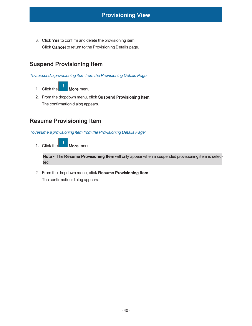3. Click Yes to confirm and delete the provisioning item. Click Cancel to return to the Provisioning Details page.

# <span id="page-39-0"></span>Suspend Provisioning Item

<span id="page-39-1"></span>To suspend <sup>a</sup> provisioning item from the Provisioning Details Page:

- 1. Click the **More** menu.
- 2. From the dropdown menu, click Suspend Provisioning Item. The confirmation dialog appears.

# <span id="page-39-3"></span><span id="page-39-2"></span>Resume Provisioning Item

To resume <sup>a</sup> provisioning item from the Provisioning Details Page:

1. Click the **More** menu.

Note • The Resume Provisioning Item will only appear when a suspended provisioning item is selected.

2. From the dropdown menu, click Resume Provisioning Item.

The confirmation dialog appears.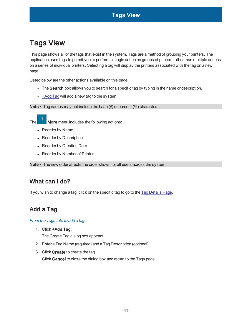<span id="page-40-0"></span>This page shows all of the tags that exist in the system. Tags are a method of grouping your printers. The application uses tags to permit you to perform a single action on groups of printers rather than multiple actions on a series of individual printers. Selecting a tag will display the printers associated with the tag on a new page.

Listed below are the other actions available on this page.

- The Search box allows you to search for a specific tag by typing in the name or description.
- $\cdot$  [+Add](#page-40-2) Tag will add a new tag to the system.

Note • Tag names may not include the hash (#) or percent (%) characters.

The **More** menu includes the following actions:

- Reorder by Name
- Reorder by Description
- Reorder by Creation Date
- Reorder by Number of Printers

<span id="page-40-1"></span>Note • The new order affects the order shown for all users across the system.

# What can I do?

<span id="page-40-2"></span>If you wish to change a tag, click on the specific tag to go to the Tag [Details](#page-41-0) Page.

# <span id="page-40-3"></span>Add a Tag

From the Tags tab, to add <sup>a</sup> tag:

1. Click +Add Tag.

The Create Tag dialog box appears.

- 2. Enter a Tag Name (required) and a Tag Description (optional).
- 3. Click Create to create the tag.

Click Cancel to close the dialog box and return to the Tags page.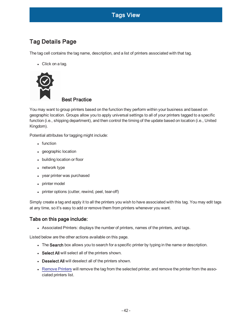# <span id="page-41-1"></span><span id="page-41-0"></span>Tag Details Page

The tag cell contains the tag name, description, and a list of printers associated with that tag.

 $\bullet$  Click on a tag.



# Best Practice

You may want to group printers based on the function they perform within your business and based on geographic location. Groups allow you to apply universal settings to all of your printers tagged to a specific function (i.e., shipping department), and then control the timing of the update based on location (i.e., United Kingdom).

Potential attributes for tagging might include:

- $\cdot$  function
- geographic location
- building location or floor
- $\bullet$  network type
- year printer was purchased
- printer model
- printer options (cutter, rewind, peel, tear-off)

Simply create a tag and apply it to all the printers you wish to have associated with this tag. You may edit tags at any time, so it's easy to add or remove them from printers whenever you want.

# <span id="page-41-2"></span>Tabs on this page include:

• Associated Printers: displays the number of printers, names of the printers, and tags.

Listed below are the other actions available on this page.

- The Search box allows you to search for a specific printer by typing in the name or description.
- Select All will select all of the printers shown.
- Deselect All will deselect all of the printers shown.
- [Remove](#page-43-2) Printers will remove the tag from the selected printer, and remove the printer from the associated printers list.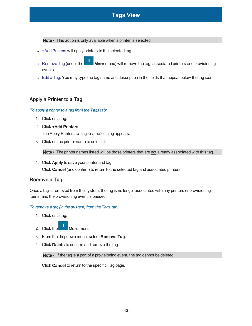Note • This action is only available when a printer is selected.

- $\cdot$  +Add [Printers](#page-42-0) will apply printers to the selected tag.
- [Remove](#page-42-2) Tag (under the  $\blacksquare$  More menu) will remove the tag, associated printers and provisioning events.
- [Edit](#page-43-0) a Tag: You may type the tag name and description in the fields that appear below the tag icon.

# <span id="page-42-1"></span><span id="page-42-0"></span>Apply a Printer to a Tag

#### To apply <sup>a</sup> printer to <sup>a</sup> tag from the Tags tab:

- 1. Click on a tag.
- 2. Click +Add Printers.

The Apply Printers to Tag <name> dialog appears.

3. Click on the printer name to select it.

Note • The printer names listed will be those printers that are not already associated with this tag.

4. Click Apply to save your printer and tag. Click Cancel (and confirm) to return to the selected tag and associated printers.

# <span id="page-42-2"></span>Remove a Tag

Once a tag is removed from the system, the tag is no longer associated with any printers or provisioning items, and the provisioning event is paused.

#### <span id="page-42-3"></span>To remove <sup>a</sup> tag (in the system) from the Tags tab:

- 1. Click on a tag.
- 2. Click the  $\blacksquare$  More menu.
- 3. From the dropdown menu, select Remove Tag.
- 4. Click Delete to confirm and remove the tag.

Note • If the tag is a part of a provisioning event, the tag cannot be deleted.

Click Cancel to return to the specific Tag page.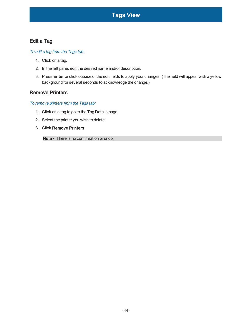# <span id="page-43-1"></span><span id="page-43-0"></span>Edit a Tag

### To edit <sup>a</sup> tag from the Tags tab:

- 1. Click on a tag.
- 2. In the left pane, edit the desired name and/or description.
- 3. Press Enter or click outside of the edit fields to apply your changes. (The field will appear with a yellow background for several seconds to acknowledge the change.)

### <span id="page-43-3"></span><span id="page-43-2"></span>Remove Printers

### To remove printers from the Tags tab:

- 1. Click on a tag to go to the Tag Details page.
- 2. Select the printer you wish to delete.
- 3. Click Remove Printers.

Note • There is no confirmation or undo.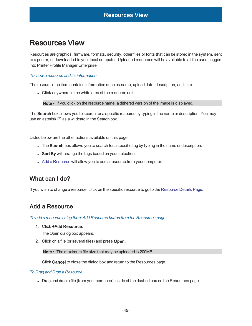# <span id="page-44-0"></span>Resources View

Resources are graphics, firmware, formats, security, other files or fonts that can be stored in the system, sent to a printer, or downloaded to your local computer. Uploaded resources will be available to all the users logged into Printer Profile Manager Enterprise.

#### <span id="page-44-1"></span>To view a resource and its information:

The resource line item contains information such as name, upload date, description, and size.

• Click anywhere in the white area of the resource cell.

Note • If you click on the resource name, a dithered version of the image is displayed.

The Search box allows you to search for a specific resource by typing in the name or description. You may use an asterisk (\*) as a wildcard in the Search box.

Listed below are the other actions available on this page.

- The Search box allows you to search for a specific tag by typing in the name or description.
- Sort By will arrange the tags based on your selection.
- Add a [Resource](#page-44-3) will allow you to add a resource from your computer.

# <span id="page-44-2"></span>What can I do?

<span id="page-44-3"></span>If you wish to change a resource, click on the specific resource to go to the [Resource](#page-45-2) Details Page.

# <span id="page-44-4"></span>Add a Resource

To add <sup>a</sup> resource using the + Add Resource button from the Resources page:

1. Click +Add Resource.

The Open dialog box appears.

2. Click on a file (or several files) and press Open.

Note • The maximum file size that may be uploaded is 200MB.

Click Cancel to close the dialog box and return to the Resources page.

#### <span id="page-44-5"></span>To Drag and Drop <sup>a</sup> Resource:

<sup>l</sup> Drag and drop a file (from your computer) inside of the dashed box on the Resources page.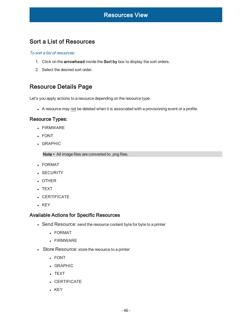# <span id="page-45-1"></span><span id="page-45-0"></span>Sort a List of Resources

#### To sort a list of resources:

- 1. Click on the arrowhead inside the Sort by box to display the sort orders.
- 2. Select the desired sort order.

# <span id="page-45-2"></span>Resource Details Page

Let's you apply actions to a resource depending on the resource type.

<span id="page-45-3"></span>• A resource may not be deleted when it is associated with a provisioning event or a profile.

### Resource Types:

- $\cdot$  FIRMWARE
- FONT
- **.** GRAPHIC

Note • All image files are converted to .png files.

- FORMAT
- **.** SECURITY
- OTHER
- . TEXT
- **.** CERTIFICATE
- <span id="page-45-4"></span> $\cdot$  KEY

### Available Actions for Specific Resources

- Send Resource: send the resource content byte for byte to a printer
	- FORMAT
	- $\cdot$  FIRMWARE
- Store Resource: store the resource to a printer
	- <sup>l</sup> FONT
	- **.** GRAPHIC
	- TEXT
	- **.** CERTIFICATE
	- $\cdot$  KEY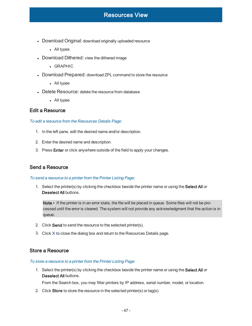- Download Original: download originally uploaded resource
	- All types
- Download Dithered: view the dithered image
	- GRAPHIC
- Download Prepared: download ZPL command to store the resource
	- All types
- Delete Resource: delete the resource from database
	- All types

### <span id="page-46-1"></span><span id="page-46-0"></span>Edit a Resource

#### To edit <sup>a</sup> resource from the Resources Details Page:

- 1. In the left pane, edit the desired name and/or description.
- 2. Enter the desired name and description.
- 3. Press Enter or click anywhere outside of the field to apply your changes.

#### <span id="page-46-3"></span><span id="page-46-2"></span>Send a Resource

#### To send <sup>a</sup> resource to <sup>a</sup> printer from the Printer Listing Page:

1. Select the printer(s) by clicking the checkbox beside the printer name or using the Select All or Deselect All buttons.

Note • If the printer is in an error state, the file will be placed in queue. Some files will not be processed until the error is cleared. The system will not provide any acknowledgment that the action is in queue.

- 2. Click Send to send the resource to the selected printer(s).
- 3. Click **X** to close the dialog box and return to the Resources Details page.

#### <span id="page-46-5"></span><span id="page-46-4"></span>Store a Resource

#### To store <sup>a</sup> resource to <sup>a</sup> printer from the Printer Listing Page:

1. Select the printer(s) by clicking the checkbox beside the printer name or using the Select All or Deselect All buttons.

From the Search box, you may filter printers by IP address, serial number, model, or location.

2. Click Store to store the resource in the selected printer(s) or tag(s).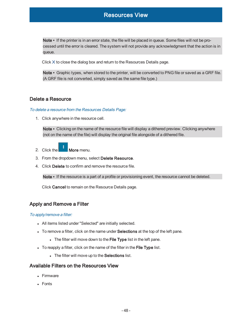Note • If the printer is in an error state, the file will be placed in queue. Some files will not be processed until the error is cleared. The system will not provide any acknowledgment that the action is in queue.

Click **X** to close the dialog box and return to the Resources Details page.

Note • Graphic types, when stored to the printer, will be converted to PNG file or saved as a GRF file. (A GRF file is not converted, simply saved as the same file type.)

### <span id="page-47-1"></span><span id="page-47-0"></span>Delete a Resource

#### To delete <sup>a</sup> resource from the Resources Details Page:

1. Click anywhere in the resource cell.

Note • Clicking on the name of the resource file will display a dithered preview. Clicking anywhere (not on the name of the file) will display the original file alongside of a dithered file.

- 2. Click the  $\blacksquare$  More menu.
- 3. From the dropdown menu, select Delete Resource.
- 4. Click Delete to confirm and remove the resource file.

Note • If the resource is a part of a profile or provisioning event, the resource cannot be deleted.

Click Cancel to remain on the Resource Details page.

### <span id="page-47-3"></span><span id="page-47-2"></span>Apply and Remove a Filter

#### To apply/remove <sup>a</sup> filter:

- All items listed under "Selected" are initially selected.
- To remove a filter, click on the name under **Selections** at the top of the left pane.
	- The filter will move down to the File Type list in the left pane.
- To reapply a filter, click on the name of the filter in the File Type list.
	- The filter will move up to the Selections list.

#### <span id="page-47-4"></span>Available Filters on the Resources View

- Firmware
- Fonts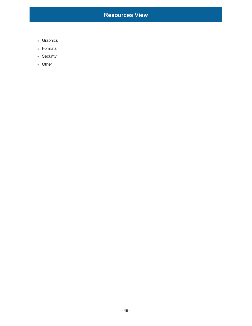- Graphics
- Formats
- Security
- Other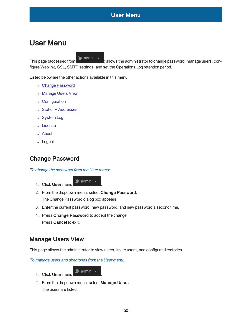# <span id="page-49-0"></span>User Menu

This page (accessed from  $\bigcirc$  admin  $\bigcirc$  ) allows the administrator to change password, manage users, configure Weblink, SSL, SMTP settings, and set the Operations Log retention period.

Listed below are the other actions available in this menu.

- Change [Password](#page-49-1)
- [Manage](#page-49-3) Users View
- [Configuration](#page-56-1)
- Static IP [Addresses](#page-59-2)
- [System](#page-60-0) Log
- **[License](#page-60-4)**
- [About](#page-63-0)
- Logout

# <span id="page-49-2"></span><span id="page-49-1"></span>Change Password

#### To change the password from the User menu:

# 1. Click User menu  $\circledcirc$  admin  $\bullet$

2. From the dropdown menu, select Change Password.

The Change Password dialog box appears.

- 3. Enter the current password, new password, and new password a second time.
- 4. Press Change Password to accept the change. Press Cancel to exit.

# <span id="page-49-3"></span>Manage Users View

<span id="page-49-4"></span>This page allows the administrator to view users, invite users, and configure directories.

To manage users and directories from the User menu:

- 1. Click User menu  $\bullet$  admin  $\bullet$
- 2. From the dropdown menu, select Manage Users. The users are listed.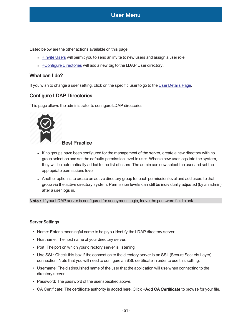Listed below are the other actions available on this page.

- $\bullet$  [+Invite](#page-51-4) Users will permit you to send an invite to new users and assign a user role.
- <span id="page-50-0"></span>• + Configure Directories will add a new tag to the LDAP User directory.

### <span id="page-50-2"></span>What can I do?

<span id="page-50-1"></span>If you wish to change a user setting, click on the specific user to go to the User [Details](#page-52-0) Page.

### Configure LDAP Directories

This page allows the administrator to configure LDAP directories.



### Best Practice

- If no groups have been configured for the management of the server, create a new directory with no group selection and set the defaults permission level to user. When a new user logs into the system, they will be automatically added to the list of users. The admin can now select the user and set the appropriate permissions level.
- Another option is to create an active directory group for each permission level and add users to that group via the active directory system. Permission levels can still be individually adjusted (by an admin) after a user logs in.

Note • If your LDAP server is configured for anonymous login, leave the password field blank.

#### <span id="page-50-3"></span>Server Settings

- Name: Enter a meaningful name to help you identify the LDAP directory server.
- Hostname: The host name of your directory server.
- Port: The port on which your directory server is listening.
- Use SSL: Check this box if the connection to the directory server is an SSL (Secure Sockets Layer) connection. Note that you will need to configure an SSL certificate in order to use this setting.
- Username: The distinguished name of the user that the application will use when connecting to the directory server.
- Password: The password of the user specified above.
- CA Certificate: The certificate authority is added here. Click +Add CA Certificate to browse for your file.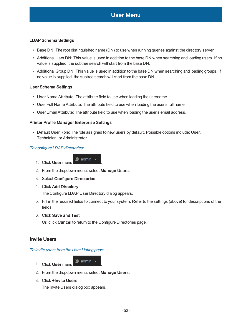### <span id="page-51-0"></span>LDAP Schema Settings

- Base DN: The root distinguished name (DN) to use when running queries against the directory server.
- Additional User DN: This value is used in addition to the base DN when searching and loading users. If no value is supplied, the subtree search will start from the base DN.
- Additional Group DN: This value is used in addition to the base DN when searching and loading groups. If no value is supplied, the subtree search will start from the base DN.

#### <span id="page-51-1"></span>User Schema Settings

- User Name Attribute: The attribute field to use when loading the username.
- User Full Name Attribute: The attribute field to use when loading the user's full name.
- <span id="page-51-2"></span>• User Email Attribute: The attribute field to use when loading the user's email address.

### Printer Profile Manager Enterprise Settings

• Default User Role: The role assigned to new users by default. Possible options include: User, Technician, or Administrator.

#### <span id="page-51-3"></span>To configure LDAP directories:

- 1. Click User menu <sup>3</sup> admin v
- 2. From the dropdown menu, select Manage Users.
- 3. Select Configure Directories.
- 4. Click Add Directory.

The Configure LDAP User Directory dialog appears.

- 5. Fill in the required fields to connect to your system. Refer to the settings (above) for descriptions of the fields.
- 6. Click Save and Test.

Or, click Cancel to return to the Configure Directories page.

### <span id="page-51-5"></span><span id="page-51-4"></span>Invite Users

#### To invite users from the User Listing page:

- 1. Click User menu admin
- 2. From the dropdown menu, select Manage Users.
- 3. Click +Invite Users.

The Invite Users dialog box appears.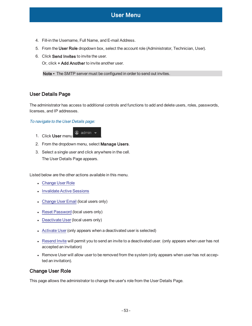- 4. Fill-in the Username, Full Name, and E-mail Address.
- 5. From the User Role dropdown box, select the account role (Administrator, Technician, User).
- 6. Click Send Invites to invite the user.

Or, click + Add Another to invite another user.

Note • The SMTP server must be configured in order to send out invites.

### <span id="page-52-0"></span>User Details Page

The administrator has access to additional controls and functions to add and delete users, roles, passwords, licenses, and IP addresses.

#### <span id="page-52-1"></span>To navigate to the User Details page:

- 1. Click User menu  $\bullet$  admin  $\bullet$
- 2. From the dropdown menu, select Manage Users.
- 3. Select a single user and click anywhere in the cell. The User Details Page appears.

Listed below are the other actions available in this menu.

- [Change](#page-52-2) User Role
- [Invalidate](#page-53-1) Active Sessions
- [Change](#page-54-0) User Email (local users only)
- Reset [Password](#page-54-4) (local users only)
- [Deactivate](#page-55-1) User (local users only)
- [Activate](#page-55-3) User (only appears when a deactivated user is selected)
- [Resend](#page-54-2) Invite will permit you to send an invite to a deactivated user. (only appears when user has not accepted an invitation)
- Remove User will allow user to be removed from the system (only appears when user has not accepted an invitation).

### <span id="page-52-2"></span>Change User Role

This page allows the administrator to change the user's role from the User Details Page.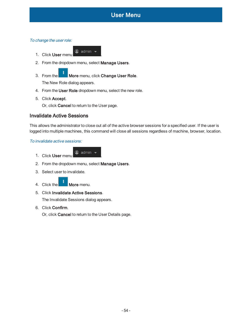

<span id="page-53-0"></span>To change the user role:

- 
- 1. Click User menu  $\bullet$  admin  $\bullet$
- 2. From the dropdown menu, select Manage Users.
- 3. From the **More** menu, click Change User Role. The New Role dialog appears.
- 4. From the User Role dropdown menu, select the new role.
- 5. Click Accept.

Or, click Cancel to return to the User page.

### <span id="page-53-1"></span>Invalidate Active Sessions

This allows the administrator to close out all of the active browser sessions for a specified user. If the user is logged into multiple machines, this command will close all sessions regardless of machine, browser, location.

#### <span id="page-53-2"></span>To invalidate active sessions:

- 1. Click User menu <sup>●</sup> admin ▼
- 2. From the dropdown menu, select Manage Users.
- 3. Select user to invalidate.



5. Click Invalidate Active Sessions.

The Invalidate Sessions dialog appears.

6. Click Confirm.

Or, click Cancel to return to the User Details page.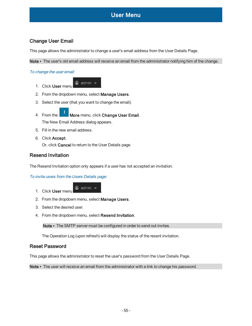# <span id="page-54-0"></span>Change User Email

This page allows the administrator to change a user's email address from the User Details Page.

<span id="page-54-1"></span>Note • The user's old email address will receive an email from the administrator notifying him of the change.

To change the user email:

- 1. Click User menu  $\bullet$  admin  $\bullet$
- 2. From the dropdown menu, select Manage Users.
- 3. Select the user (that you want to change the email).
- 4. From the **More** menu, click Change User Email. The New Email Address dialog appears.
- 5. Fill in the new email address.
- 6. Click Accept.

Or, click Cancel to return to the User Details page.

### <span id="page-54-2"></span>Resend Invitation

<span id="page-54-3"></span>The Resend Invitation option only appears if a user has not accepted an invitation.

To invite users from the Users Details page:

1. Click User menu a admin .

- 2. From the dropdown menu, select Manage Users.
- 3. Select the desired user.
- 4. From the dropdown menu, select Resend Invitation.

Note • The SMTP server must be configured in order to send out invites.

The Operation Log (upon refresh) will display the status of the resent invitation.

### <span id="page-54-4"></span>Reset Password

This page allows the administrator to reset the user's password from the User Details Page.

Note • The user will receive an email from the administrator with a link to change his password.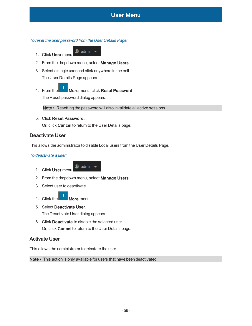#### <span id="page-55-0"></span>To reset the user password from the User Details Page:

- 1. Click User menu admin .
- 2. From the dropdown menu, select Manage Users.
- 3. Select a single user and click anywhere in the cell. The User Details Page appears.
- 4. From the **More** menu, click Reset Password. The Reset password dialog appears.

Note • Resetting the password will also invalidate all active sessions

5. Click Reset Password.

Or, click Cancel to return to the User Details page.

### <span id="page-55-1"></span>Deactivate User

<span id="page-55-2"></span>This allows the administrator to disable Local users from the User Details Page.

#### To deactivate a user:

- 1. Click User menu
- 2. From the dropdown menu, select Manage Users.
- 3. Select user to deactivate.
- 4. Click the  $\begin{array}{|c|c|c|c|c|c|} \hline \end{array}$  More menu.
- 5. Select Deactivate User.

The Deactivate User dialog appears.

6. Click Deactivate to disable the selected user. Or, click Cancel to return to the User Details page.

### <span id="page-55-3"></span>Activate User

This allows the administrator to reinstate the user.

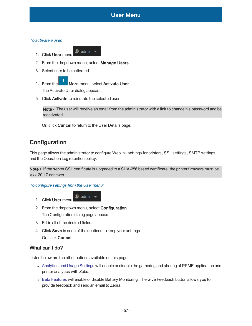<span id="page-56-0"></span>To activate a user:

- 1. Click User menu a admin .
- 2. From the dropdown menu, select Manage Users.
- 3. Select user to be activated.
- 4. From the More menu, select Activate User. The Activate User dialog appears.
- 5. Click Activate to reinstate the selected user.

Note • The user will receive an email from the administrator with a link to change his password and be reactivated.

Or, click Cancel to return to the User Details page.

# <span id="page-56-1"></span>**Configuration**

This page allows the administrator to configure Weblink settings for printers, SSL settings, SMTP settings, and the Operation Log retention policy.

Note • If the server SSL certificate is upgraded to a SHA-256 based certificate, the printer firmware must be Vxx.20.1Z or newer.

<span id="page-56-2"></span>To configure settings from the User menu:

- 1. Click User menu a admin .
- 2. From the dropdown menu, select Configuration.

The Configuration dialog page appears.

- 3. Fill in all of the desired fields.
- 4. Click Save in each of the sections to keep your settings. Or, click Cancel.

# <span id="page-56-3"></span>What can I do?

Listed below are the other actions available on this page.

- [Analytics](#page-57-0) and Usage Settings will enable or disable the gathering and sharing of PPME application and printer analytics with Zebra.
- Beta [Features](#page-58-2) will enable or disable Battery Monitoring. The Give Feedback button allows you to provide feedback and send an email to Zebra.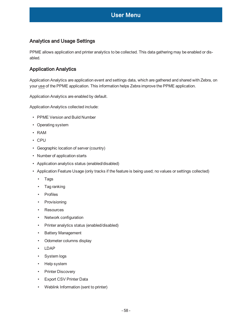# <span id="page-57-0"></span>Analytics and Usage Settings

PPME allows application and printer analytics to be collected. This data gathering may be enabled or disabled.

# <span id="page-57-1"></span>Application Analytics

Application Analytics are application event and settings data, which are gathered and shared with Zebra, on your use of the PPME application. This information helps Zebra improve the PPME application.

Application Analytics are enabled by default.

Application Analytics collected include:

- PPME Version and Build Number
- Operating system
- RAM
- CPU
- Geographic location of server (country)
- Number of application starts
- Application analytics status (enabled/disabled)
- Application Feature Usage (only tracks if the feature is being used; no values or settings collected)
	- Tags
	- Tag ranking
	- Profiles
	- Provisioning
	- Resources
	- Network configuration
	- Printer analytics status (enabled/disabled)
	- Battery Management
	- Odometer columns display
	- LDAP
	- System logs
	- Help system
	- Printer Discovery
	- Export CSV Printer Data
	- Weblink Information (sent to printer)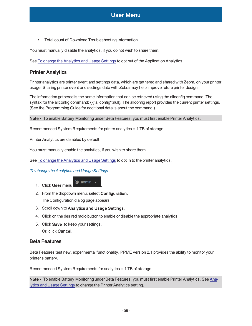• Total count of Download Troubleshooting Information

You must manually disable the analytics, if you do not wish to share them.

<span id="page-58-0"></span>See To change the [Analytics](#page-58-1) and Usage Settings to opt out of the Application Analytics.

### Printer Analytics

Printer analytics are printer event and settings data, which are gathered and shared with Zebra, on your printer usage. Sharing printer event and settings data with Zebra may help improve future printer design.

The information gathered is the same information that can be retrieved using the allconfig command. The syntax for the allconfig command:  $\{\right\}$ "allconfig":null $\}$ . The allconfig report provides the current printer settings. (See the Programming Guide for additional details about the command.)

Note • To enable Battery Monitoring under Beta Features, you must first enable Printer Analytics.

Recommended System Requirements for printer analytics = 1 TB of storage.

Printer Analytics are disabled by default.

You must manually enable the analytics, if you wish to share them.

<span id="page-58-1"></span>See To change the [Analytics](#page-58-1) and Usage Settings to opt in to the printer analytics.

To change the Analytics and Usage Settings

- 1. Click User menu a admin .
- 2. From the dropdown menu, select Configuration. The Configuration dialog page appears.
- 3. Scroll down to Analytics and Usage Settings.
- 4. Click on the desired radio button to enable or disable the appropriate analytics.
- 5. Click Save to keep your settings. Or, click Cancel.

### <span id="page-58-2"></span>Beta Features

Beta Features test new, experimental functionality. PPME version 2.1 provides the ability to monitor your printer's battery.

Recommended System Requirements for analytics = 1 TB of storage.

Note • To enable Battery Monitoring under Beta Features, you must first enable Printer Analytics. See [Ana](#page-57-0)lytics and Usage [Settings](#page-57-0) to change the Printer Analytics setting.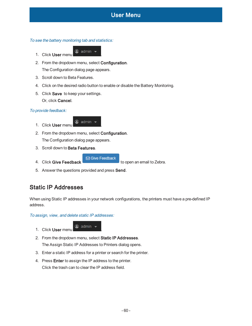<span id="page-59-0"></span>To see the battery monitoring tab and statistics:

- 
- 1. Click User menu admin .
- 2. From the dropdown menu, select Configuration. The Configuration dialog page appears.
- 3. Scroll down to Beta Features.
- 4. Click on the desired radio button to enable or disable the Battery Monitoring.
- 5. Click Save to keep your settings. Or, click Cancel.

### <span id="page-59-1"></span>To provide feedback:

- 1. Click User menu admin .
- 2. From the dropdown menu, select Configuration. The Configuration dialog page appears.
- 3. Scroll down to Beta Features.
- 4. Click Give Feedback to open an email to Zebra.

**S** Give Feedback

5. Answer the questions provided and press Send.

# <span id="page-59-2"></span>Static IP Addresses

When using Static IP addresses in your network configurations, the printers must have a pre-defined IP address.

<span id="page-59-3"></span>To assign, view, and delete static IP addresses:

- 1. Click User menu  $\bullet$  admin  $\bullet$
- 2. From the dropdown menu, select Static IP Addresses. The Assign Static IP Addresses to Printers dialog opens.
- 3. Enter a static IP address for a printer or search for the printer.
- 4. Press Enter to assign the IP address to the printer. Click the trash can to clear the IP address field.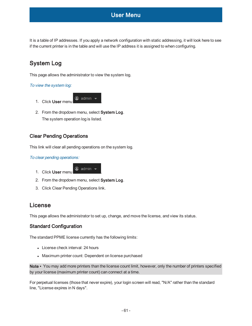It is a table of IP addresses. If you apply a network configuration with static addressing, it will look here to see if the current printer is in the table and will use the IP address it is assigned to when configuring.

# <span id="page-60-0"></span>System Log

<span id="page-60-1"></span>This page allows the administrator to view the system log.

### To view the system log:

- 1. Click User menu a admin .
- 2. From the dropdown menu, select System Log. The system operation log is listed.

### <span id="page-60-2"></span>Clear Pending Operations

<span id="page-60-3"></span>This link will clear all pending operations on the system log.

#### To clear pending operations:

- 1. Click User menu <br>
<sup>1</sup> Click User menu
- 2. From the dropdown menu, select System Log.
- 3. Click Clear Pending Operations link.

# <span id="page-60-4"></span>License

<span id="page-60-5"></span>This page allows the administrator to set up, change, and move the license, and view its status.

# Standard Configuration

The standard PPME license currently has the following limits:

- License check interval: 24 hours
- Maximum printer count: Dependent on license purchased

Note • You may add more printers than the license count limit, however, only the number of printers specified by your license (maximum printer count) can connect at a time.

For perpetual licenses (those that never expire), your login screen will read, "N/A" rather than the standard line, "License expires in N days".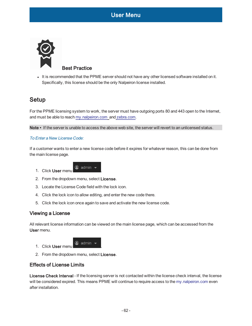<span id="page-61-0"></span>

It is recommended that the PPME server should not have any other licensed software installed on it. Specifically, this license should be the only Nalpeiron license installed.

# <span id="page-61-1"></span>Setup

For the PPME licensing system to work, the server must have outgoing ports 80 and 443 open to the Internet, and must be able to reach my.nalpeiron.com and zebra.com.

<span id="page-61-2"></span>Note • If the server is unable to access the above web site, the server will revert to an unlicensed status.

#### To Enter a New License Code:

If a customer wants to enter a new license code before it expires for whatever reason, this can be done from the main license page.

- 1. Click User menu a admin .
- 2. From the dropdown menu, select License.
- 3. Locate the License Code field with the lock icon.
- 4. Click the lock icon to allow editing, and enter the new code there.
- <span id="page-61-3"></span>5. Click the lock icon once again to save and activate the new license code.

### Viewing a License

All relevant license information can be viewed on the main license page, which can be accessed from the User menu.

- 1. Click User menu
- <span id="page-61-4"></span>2. From the dropdown menu, select License.

### Effects of License Limits

License Check Interval - If the licensing server is not contacted within the license check interval, the license will be considered expired. This means PPME will continue to require access to the my.nalpeiron.com even after installation.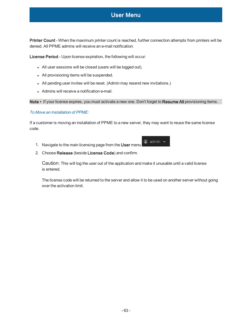Printer Count - When the maximum printer count is reached, further connection attempts from printers will be denied. All PPME admins will receive an e-mail notification.

License Period - Upon license expiration, the following will occur:

- All user sessions will be closed (users will be logged out).
- All provisioning items will be suspended.
- All pending user invites will be reset. (Admin may resend new invitations.)
- Admins will receive a notification e-mail.

<span id="page-62-0"></span>Note • If your license expires, you must activate a new one. Don't forget to Resume All provisioning items.

#### To Move an Installation of PPME:

If a customer is moving an installation of PPME to a new server, they may want to reuse the same license code.

- 1. Navigate to the main licensing page from the User menu .
- 2. Choose Release (beside License Code) and confirm.

Caution: This will log the user out of the application and make it unusable until a valid license is entered.

The license code will be returned to the server and allow it to be used on another server without going over the activation limit.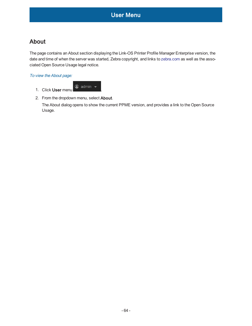# <span id="page-63-0"></span>About

The page contains an About section displaying the Link-OS Printer Profile Manager Enterprise version, the date and time of when the server was started, Zebra copyright, and links to zebra.com as well as the associated Open Source Usage legal notice.

<span id="page-63-1"></span>To view the About page:



2. From the dropdown menu, select About.

The About dialog opens to show the current PPME version, and provides a link to the Open Source Usage.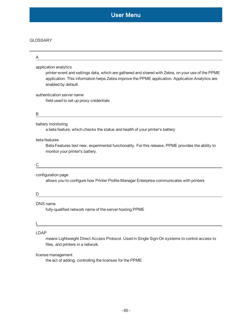#### GLOSSARY

# A application analytics printer event and settings data, which are gathered and shared with Zebra, on your use of the PPME

application. This information helps Zebra improve the PPME application. Application Analytics are enabled by default.

authentication server name field used to set up proxy credentials

#### B

#### battery monitoring

a beta feature, which checks the status and health of your printer's battery

#### beta features

Beta Features test new, experimental functionality. For this release, PPME provides the ability to monitor your printer's battery.

#### C

#### configuration page

allows you to configure how Printer Profile Manager Enterprise communicates with printers

#### D

#### DNS name

fully-qualified network name of the server hosting PPME

#### L

#### LDAP

means Lightweight Direct Access Protocol. Used in Single Sign-On systems to control access to files, and printers in a network.

#### license management

the act of adding, controlling the licenses for the PPME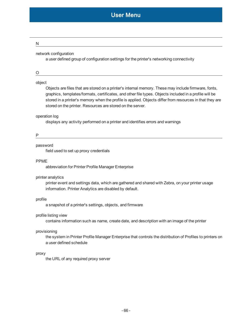#### N

#### network configuration

a user defined group of configuration settings for the printer's networking connectivity

O

#### object

Objects are files that are stored on a printer's internal memory. These may include firmware, fonts, graphics, templates/formats, certificates, and other file types. Objects included in a profile will be stored in a printer's memory when the profile is applied. Objects differ from resources in that they are stored on the printer. Resources are stored on the server.

#### operation log

displays any activity performed on a printer and identifies errors and warnings

P

#### password

field used to set up proxy credentials

#### PPME

abbreviation for Printer Profile Manager Enterprise

#### printer analytics

printer event and settings data, which are gathered and shared with Zebra, on your printer usage information. Printer Analytics are disabled by default.

#### profile

a snapshot of a printer's settings, objects, and firmware

#### profile listing view

contains information such as name, create date, and description with an image of the printer

#### provisioning

the system in Printer Profile Manager Enterprise that controls the distribution of Profiles to printers on a user defined schedule

#### proxy

the URL of any required proxy server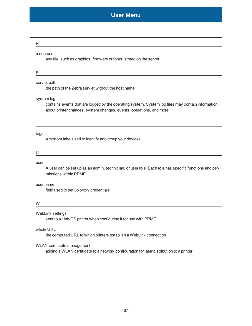| R                                                                                                                                                                                       |  |
|-----------------------------------------------------------------------------------------------------------------------------------------------------------------------------------------|--|
| resources<br>any file, such as graphics, firmware or fonts, stored on the server                                                                                                        |  |
| S<br><u> 1980 - Johann Barn, fransk politik (d. 1980)</u>                                                                                                                               |  |
| servlet path<br>the path of the Zebra servlet without the host name                                                                                                                     |  |
| system log<br>contains events that are logged by the operating system. System log files may contain information<br>about printer changes, system changes, events, operations, and more. |  |
|                                                                                                                                                                                         |  |
| tags<br>a custom label used to identify and group your devices                                                                                                                          |  |
|                                                                                                                                                                                         |  |
| user<br>A user can be set up as an admin, technician, or user role. Each role has specific functions and per-<br>missions within PPME.                                                  |  |
| user name<br>field used to set up proxy credentials                                                                                                                                     |  |
| W                                                                                                                                                                                       |  |
| WebLink settings<br>sent to a Link-OS printer when configuring it for use with PPME                                                                                                     |  |
| whole URL<br>the computed URL to which printers establish a WebLink connection                                                                                                          |  |
| WLAN certificate management<br>adding a WLAN certificate to a network configuration for later distribution to a printer                                                                 |  |